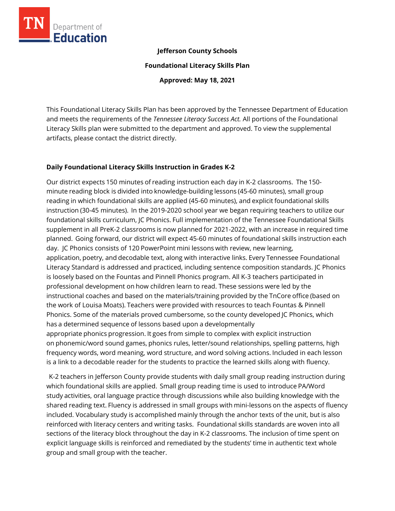

# **Jefferson County Schools**

**Foundational Literacy Skills Plan**

**Approved: May 18, 2021**

This Foundational Literacy Skills Plan has been approved by the Tennessee Department of Education and meets the requirements of the *Tennessee Literacy Success Act.* All portions of the Foundational Literacy Skills plan were submitted to the department and approved. To view the supplemental artifacts, please contact the district directly.

# **Daily Foundational Literacy Skills Instruction in Grades K-2**

Our district expects 150 minutes of reading instruction each day in K-2 classrooms. The 150 minute reading block is divided into knowledge-building lessons (45-60 minutes), small group reading in which foundational skills are applied (45-60 minutes), and explicit foundational skills instruction (30-45 minutes).  In the 2019-2020 school year we began requiring teachers to utilize our foundational skills curriculum, JC Phonics. Full implementation of the Tennessee Foundational Skills supplement in all PreK-2 classrooms is now planned for 2021-2022, with an increase in required time planned.  Going forward, our district will expect 45-60 minutes of foundational skills instruction each day. JC Phonics consists of 120 PowerPoint mini lessons with review, new learning, application, poetry, and decodable text, along with interactive links. Every Tennessee Foundational Literacy Standard is addressed and practiced, including sentence composition standards. JC Phonics is loosely based on the Fountas and Pinnell Phonics program. All K-3 teachers participated in professional development on how children learn to read. These sessions were led by the instructional coaches and based on the materials/training provided by the TnCore office (based on the work of Louisa Moats). Teachers were provided with resources to teach Fountas & Pinnell Phonics. Some of the materials proved cumbersome, so the county developed JC Phonics, which has a determined sequence of lessons based upon a developmentally appropriate phonics progression. It goes from simple to complex with explicit instruction on phonemic/word sound games, phonics rules, letter/sound relationships, spelling patterns, high frequency words, word meaning, word structure, and word solving actions. Included in each lesson is a link to a decodable reader for the students to practice the learned skills along with fluency.  

  K-2 teachers in Jefferson County provide students with daily small group reading instruction during which foundational skills are applied.  Small group reading time is used to introduce PA/Word study activities, oral language practice through discussions while also building knowledge with the shared reading text. Fluency is addressed in small groups with mini-lessons on the aspects of fluency included. Vocabulary study is accomplished mainly through the anchor texts of the unit, but is also reinforced with literacy centers and writing tasks. Foundational skills standards are woven into all sections of the literacy block throughout the day in K-2 classrooms. The inclusion of time spent on explicit language skills is reinforced and remediated by the students' time in authentic text whole group and small group with the teacher.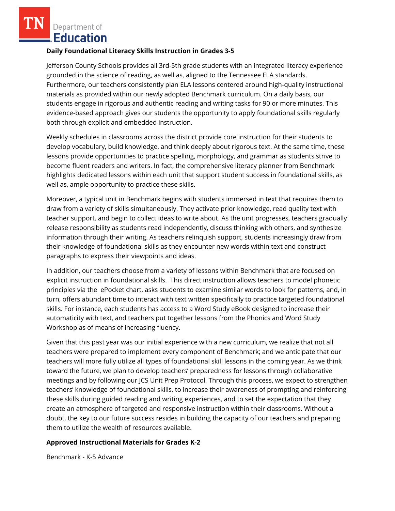Department of **Education** 

#### **Daily Foundational Literacy Skills Instruction in Grades 3-5**

Jefferson County Schools provides all 3rd-5th grade students with an integrated literacy experience grounded in the science of reading, as well as, aligned to the Tennessee ELA standards. Furthermore, our teachers consistently plan ELA lessons centered around high-quality instructional materials as provided within our newly adopted Benchmark curriculum. On a daily basis, our students engage in rigorous and authentic reading and writing tasks for 90 or more minutes. This evidence-based approach gives our students the opportunity to apply foundational skills regularly both through explicit and embedded instruction.

Weekly schedules in classrooms across the district provide core instruction for their students to develop vocabulary, build knowledge, and think deeply about rigorous text. At the same time, these lessons provide opportunities to practice spelling, morphology, and grammar as students strive to become fluent readers and writers. In fact, the comprehensive literacy planner from Benchmark highlights dedicated lessons within each unit that support student success in foundational skills, as well as, ample opportunity to practice these skills.

Moreover, a typical unit in Benchmark begins with students immersed in text that requires them to draw from a variety of skills simultaneously. They activate prior knowledge, read quality text with teacher support, and begin to collect ideas to write about. As the unit progresses, teachers gradually release responsibility as students read independently, discuss thinking with others, and synthesize information through their writing. As teachers relinquish support, students increasingly draw from their knowledge of foundational skills as they encounter new words within text and construct paragraphs to express their viewpoints and ideas.

In addition, our teachers choose from a variety of lessons within Benchmark that are focused on explicit instruction in foundational skills. This direct instruction allows teachers to model phonetic principles via the ePocket chart, asks students to examine similar words to look for patterns, and, in turn, offers abundant time to interact with text written specifically to practice targeted foundational skills. For instance, each students has access to a Word Study eBook designed to increase their automaticity with text, and teachers put together lessons from the Phonics and Word Study Workshop as of means of increasing fluency.

Given that this past year was our initial experience with a new curriculum, we realize that not all teachers were prepared to implement every component of Benchmark; and we anticipate that our teachers will more fully utilize all types of foundational skill lessons in the coming year. As we think toward the future, we plan to develop teachers' preparedness for lessons through collaborative meetings and by following our JCS Unit Prep Protocol. Through this process, we expect to strengthen teachers' knowledge of foundational skills, to increase their awareness of prompting and reinforcing these skills during guided reading and writing experiences, and to set the expectation that they create an atmosphere of targeted and responsive instruction within their classrooms. Without a doubt, the key to our future success resides in building the capacity of our teachers and preparing them to utilize the wealth of resources available.

# **Approved Instructional Materials for Grades K-2**

Benchmark - K-5 Advance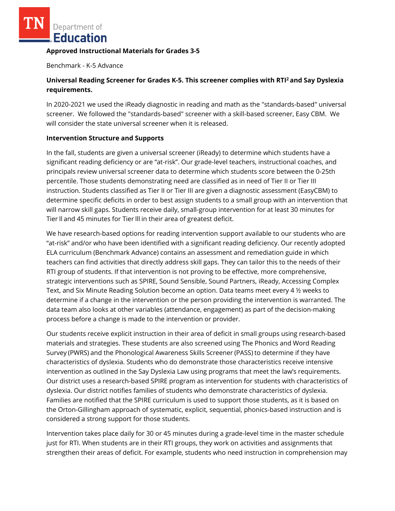Department of **Education** 

#### **Approved Instructional Materials for Grades 3-5**

Benchmark - K-5 Advance

# **Universal Reading Screener for Grades K-5. This screener complies with RTI<sup>2</sup>and Say Dyslexia requirements.**

In 2020-2021 we used the iReady diagnostic in reading and math as the "standards-based" universal screener. We followed the "standards-based" screener with a skill-based screener, Easy CBM. We will consider the state universal screener when it is released.

# **Intervention Structure and Supports**

In the fall, students are given a universal screener (iReady) to determine which students have a significant reading deficiency or are "at-risk". Our grade-level teachers, instructional coaches, and principals review universal screener data to determine which students score between the 0-25th percentile. Those students demonstrating need are classified as in need of Tier II or Tier III instruction. Students classified as Tier II or Tier III are given a diagnostic assessment (EasyCBM) to determine specific deficits in order to best assign students to a small group with an intervention that will narrow skill gaps. Students receive daily, small-group intervention for at least 30 minutes for Tier ll and 45 minutes for Tier lll in their area of greatest deficit.    

We have research-based options for reading intervention support available to our students who are "at-risk" and/or who have been identified with a significant reading deficiency. Our recently adopted ELA curriculum (Benchmark Advance) contains an assessment and remediation guide in which teachers can find activities that directly address skill gaps. They can tailor this to the needs of their RTI group of students. If that intervention is not proving to be effective, more comprehensive, strategic interventions such as SPIRE, Sound Sensible, Sound Partners, iReady, Accessing Complex Text, and Six Minute Reading Solution become an option. Data teams meet every 4 ½ weeks to determine if a change in the intervention or the person providing the intervention is warranted. The data team also looks at other variables (attendance, engagement) as part of the decision-making process before a change is made to the intervention or provider.    

Our students receive explicit instruction in their area of deficit in small groups using research-based materials and strategies. These students are also screened using The Phonics and Word Reading Survey (PWRS) and the Phonological Awareness Skills Screener (PASS) to determine if they have characteristics of dyslexia. Students who do demonstrate those characteristics receive intensive intervention as outlined in the Say Dyslexia Law using programs that meet the law's requirements. Our district uses a research-based SPIRE program as intervention for students with characteristics of dyslexia. Our district notifies families of students who demonstrate characteristics of dyslexia. Families are notified that the SPIRE curriculum is used to support those students, as it is based on the Orton-Gillingham approach of systematic, explicit, sequential, phonics-based instruction and is considered a strong support for those students.    

Intervention takes place daily for 30 or 45 minutes during a grade-level time in the master schedule just for RTI. When students are in their RTI groups, they work on activities and assignments that strengthen their areas of deficit. For example, students who need instruction in comprehension may